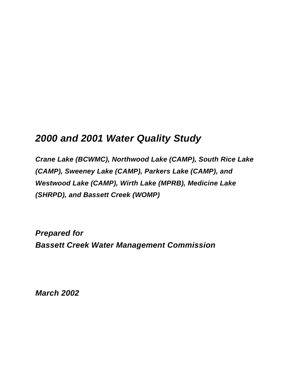# *2000 and 2001 Water Quality Study*

*Crane Lake (BCWMC), Northwood Lake (CAMP), South Rice Lake (CAMP), Sweeney Lake (CAMP), Parkers Lake (CAMP), and Westwood Lake (CAMP), Wirth Lake (MPRB), Medicine Lake (SHRPD), and Bassett Creek (WOMP)*

*Prepared for Bassett Creek Water Management Commission*

*March 2002*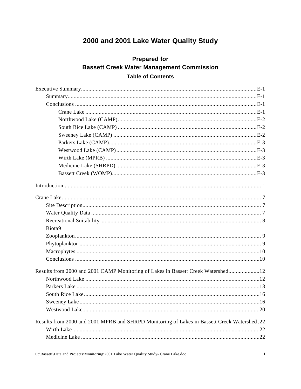## 2000 and 2001 Lake Water Quality Study

### **Prepared for Bassett Creek Water Management Commission Table of Contents**

| Biota9                                                                                      |  |  |  |
|---------------------------------------------------------------------------------------------|--|--|--|
|                                                                                             |  |  |  |
|                                                                                             |  |  |  |
|                                                                                             |  |  |  |
|                                                                                             |  |  |  |
| Results from 2000 and 2001 CAMP Monitoring of Lakes in Bassett Creek Watershed12            |  |  |  |
|                                                                                             |  |  |  |
|                                                                                             |  |  |  |
|                                                                                             |  |  |  |
|                                                                                             |  |  |  |
|                                                                                             |  |  |  |
| Results from 2000 and 2001 MPRB and SHRPD Monitoring of Lakes in Bassett Creek Watershed.22 |  |  |  |
|                                                                                             |  |  |  |
|                                                                                             |  |  |  |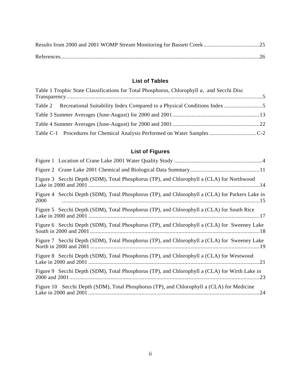#### **List of Tables**

| Table 1 Trophic State Classifications for Total Phosphorus, Chlorophyll a, and Secchi Disc |  |
|--------------------------------------------------------------------------------------------|--|
| Table 2 Recreational Suitability Index Compared to a Physical Conditions Index             |  |
|                                                                                            |  |
|                                                                                            |  |
|                                                                                            |  |

## **List of Figures**

| Figure 3 Secchi Depth (SDM), Total Phosphorus (TP), and Chlorophyll a (CLA) for Northwood               |
|---------------------------------------------------------------------------------------------------------|
| Figure 4 Secchi Depth (SDM), Total Phosphorus (TP), and Chlorophyll a (CLA) for Parkers Lake in<br>2000 |
| Figure 5 Secchi Depth (SDM), Total Phosphorus (TP), and Chlorophyll a (CLA) for South Rice              |
| Figure 6 Secchi Depth (SDM), Total Phosphorus (TP), and Chlorophyll a (CLA) for Sweeney Lake            |
| Figure 7 Secchi Depth (SDM), Total Phosphorus (TP), and Chlorophyll a (CLA) for Sweeney Lake            |
| Figure 8 Secchi Depth (SDM), Total Phosphorus (TP), and Chlorophyll a (CLA) for Westwood                |
| Figure 9 Secchi Depth (SDM), Total Phosphorus (TP), and Chlorophyll a (CLA) for Wirth Lake in           |
| Figure 10 Secchi Depth (SDM), Total Phosphorus (TP), and Chlorophyll a (CLA) for Medicine               |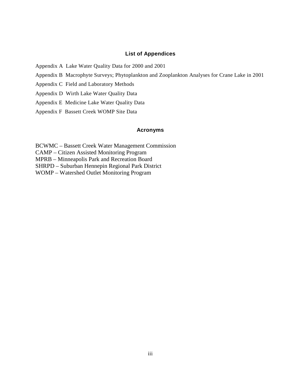#### **List of Appendices**

Appendix A Lake Water Quality Data for 2000 and 2001

- Appendix B Macrophyte Surveys; Phytoplankton and Zooplankton Analyses for Crane Lake in 2001
- Appendix C Field and Laboratory Methods
- Appendix D Wirth Lake Water Quality Data
- Appendix E Medicine Lake Water Quality Data
- Appendix F Bassett Creek WOMP Site Data

#### **Acronyms**

BCWMC – Bassett Creek Water Management Commission

CAMP – Citizen Assisted Monitoring Program

MPRB – Minneapolis Park and Recreation Board

SHRPD – Suburban Hennepin Regional Park District

WOMP – Watershed Outlet Monitoring Program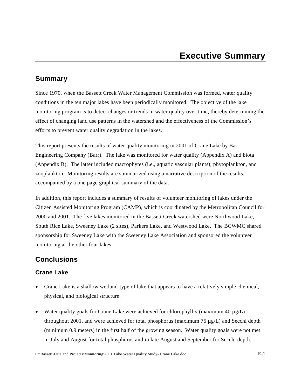### **Summary**

Since 1970, when the Bassett Creek Water Management Commission was formed, water quality conditions in the ten major lakes have been periodically monitored. The objective of the lake monitoring program is to detect changes or trends in water quality over time, thereby determining the effect of changing land use patterns in the watershed and the effectiveness of the Commission's efforts to prevent water quality degradation in the lakes.

This report presents the results of water quality monitoring in 2001 of Crane Lake by Barr Engineering Company (Barr). The lake was monitored for water quality (Appendix A) and biota (Appendix B). The latter included macrophytes (i.e., aquatic vascular plants), phytoplankton, and zooplankton. Monitoring results are summarized using a narrative description of the results, accompanied by a one page graphical summary of the data.

In addition, this report includes a summary of results of volunteer monitoring of lakes under the Citizen Assisted Monitoring Program (CAMP), which is coordinated by the Metropolitan Council for 2000 and 2001. The five lakes monitored in the Bassett Creek watershed were Northwood Lake, South Rice Lake, Sweeney Lake (2 sites), Parkers Lake, and Westwood Lake. The BCWMC shared sponsorship for Sweeney Lake with the Sweeney Lake Association and sponsored the volunteer monitoring at the other four lakes.

## **Conclusions**

#### **Crane Lake**

- Crane Lake is a shallow wetland-type of lake that appears to have a relatively simple chemical, physical, and biological structure.
- Water quality goals for Crane Lake were achieved for chlorophyll *a* (maximum 40  $\mu$ g/L) throughout 2001, and were achieved for total phosphorus (maximum 75  $\mu$ g/L) and Secchi depth (minimum 0.9 meters) in the first half of the growing season. Water quality goals were not met in July and August for total phosphorus and in late August and September for Secchi depth.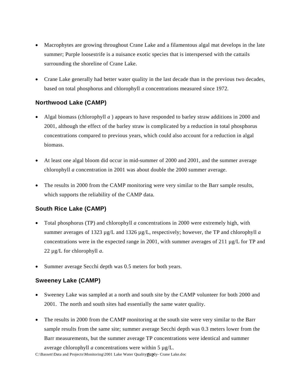- Macrophytes are growing throughout Crane Lake and a filamentous algal mat develops in the late summer; Purple loosestrife is a nuisance exotic species that is interspersed with the cattails surrounding the shoreline of Crane Lake.
- Crane Lake generally had better water quality in the last decade than in the previous two decades, based on total phosphorus and chlorophyll *a* concentrations measured since 1972.

#### **Northwood Lake (CAMP)**

- Algal biomass (chlorophyll *a* ) appears to have responded to barley straw additions in 2000 and 2001, although the effect of the barley straw is complicated by a reduction in total phosphorus concentrations compared to previous years, which could also account for a reduction in algal biomass.
- At least one algal bloom did occur in mid-summer of 2000 and 2001, and the summer average chlorophyll *a* concentration in 2001 was about double the 2000 summer average.
- The results in 2000 from the CAMP monitoring were very similar to the Barr sample results, which supports the reliability of the CAMP data.

#### **South Rice Lake (CAMP)**

- Total phosphorus (TP) and chlorophyll *a* concentrations in 2000 were extremely high, with summer averages of 1323 µg/L and 1326 µg/L, respectively; however, the TP and chlorophyll *a* concentrations were in the expected range in 2001, with summer averages of 211  $\mu$ g/L for TP and 22 µg/L for chlorophyll *a*.
- Summer average Secchi depth was 0.5 meters for both years.

#### **Sweeney Lake (CAMP)**

- Sweeney Lake was sampled at a north and south site by the CAMP volunteer for both 2000 and 2001. The north and south sites had essentially the same water quality.
- The results in 2000 from the CAMP monitoring at the south site were very similar to the Barr sample results from the same site; summer average Secchi depth was 0.3 meters lower from the Barr measurements, but the summer average TP concentrations were identical and summer

C:\Bassett\Data and Projects\Monitoring\2001 Lake Water Quality Stody- Crane Lake.doc average chlorophyll *a* concentrations were within 5 µg/L.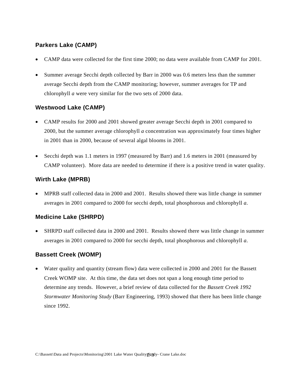#### **Parkers Lake (CAMP)**

- CAMP data were collected for the first time 2000; no data were available from CAMP for 2001.
- Summer average Secchi depth collected by Barr in 2000 was 0.6 meters less than the summer average Secchi depth from the CAMP monitoring; however, summer averages for TP and chlorophyll *a* were very similar for the two sets of 2000 data.

#### **Westwood Lake (CAMP)**

- CAMP results for 2000 and 2001 showed greater average Secchi depth in 2001 compared to 2000, but the summer average chlorophyll *a* concentration was approximately four times higher in 2001 than in 2000, because of several algal blooms in 2001.
- Secchi depth was 1.1 meters in 1997 (measured by Barr) and 1.6 meters in 2001 (measured by CAMP volunteer). More data are needed to determine if there is a positive trend in water quality.

#### **Wirth Lake (MPRB)**

• MPRB staff collected data in 2000 and 2001. Results showed there was little change in summer averages in 2001 compared to 2000 for secchi depth, total phosphorous and chlorophyll *a*.

#### **Medicine Lake (SHRPD)**

• SHRPD staff collected data in 2000 and 2001. Results showed there was little change in summer averages in 2001 compared to 2000 for secchi depth, total phosphorous and chlorophyll *a*.

#### **Bassett Creek (WOMP)**

• Water quality and quantity (stream flow) data were collected in 2000 and 2001 for the Bassett Creek WOMP site. At this time, the data set does not span a long enough time period to determine any trends. However, a brief review of data collected for the *Bassett Creek 1992 Stormwater Monitoring Study* (Barr Engineering, 1993) showed that there has been little change since 1992.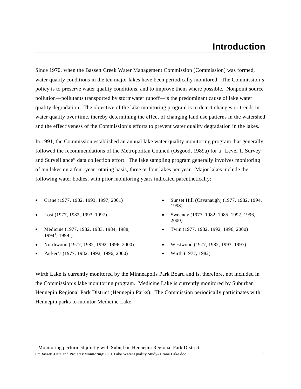## **Introduction**

Since 1970, when the Bassett Creek Water Management Commission (Commission) was formed, water quality conditions in the ten major lakes have been periodically monitored. The Commission's policy is to preserve water quality conditions, and to improve them where possible. Nonpoint source pollution—pollutants transported by stormwater runoff—is the predominant cause of lake water quality degradation. The objective of the lake monitoring program is to detect changes or trends in water quality over time, thereby determining the effect of changing land use patterns in the watershed and the effectiveness of the Commission's efforts to prevent water quality degradation in the lakes.

In 1991, the Commission established an annual lake water quality monitoring program that generally followed the recommendations of the Metropolitan Council (Osgood, 1989a) for a "Level 1, Survey and Surveillance" data collection effort. The lake sampling program generally involves monitoring of ten lakes on a four-year rotating basis, three or four lakes per year. Major lakes include the following water bodies, with prior monitoring years indicated parenthetically:

- 
- 

 $\overline{a}$ 

- Medicine (1977, 1982, 1983, 1984, 1988, [1](#page-7-0)994<sup>1</sup>, 1999<sup>1</sup>)
- Northwood (1977, 1982, 1992, 1996, 2000) Westwood (1977, 1982, 1993, 1997)
- Parker's (1977, 1982, 1992, 1996, 2000) Wirth (1977, 1982)
- Crane (1977, 1982, 1993, 1997, 2001) Sunset Hill (Cavanaugh) (1977, 1982, 1994, 1998)
- Lost (1977, 1982, 1993, 1997) Sweeney (1977, 1982, 1985, 1992, 1996, 2000)
	- Twin (1977, 1982, 1992, 1996, 2000)
	-
	-

Wirth Lake is currently monitored by the Minneapolis Park Board and is, therefore, not included in the Commission's lake monitoring program. Medicine Lake is currently monitored by Suburban Hennepin Regional Park District (Hennepin Parks). The Commission periodically participates with Hennepin parks to monitor Medicine Lake.

<span id="page-7-0"></span>C:\Bassett\Data and Projects\Monitoring\2001 Lake Water Quality Study- Crane Lake.doc 1 <sup>1</sup> Monitoring performed jointly with Suburban Hennepin Regional Park District.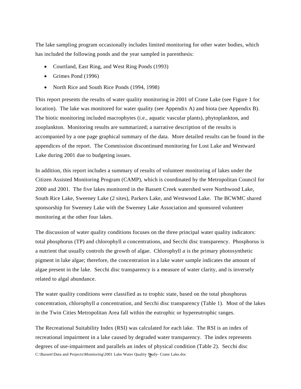The lake sampling program occasionally includes limited monitoring for other water bodies, which has included the following ponds and the year sampled in parenthesis:

- Courtland, East Ring, and West Ring Ponds (1993)
- Grimes Pond (1996)
- North Rice and South Rice Ponds (1994, 1998)

This report presents the results of water quality monitoring in 2001 of Crane Lake (see Figure 1 for location). The lake was monitored for water quality (see Appendix A) and biota (see Appendix B). The biotic monitoring included macrophytes (i.e., aquatic vascular plants), phytoplankton, and zooplankton. Monitoring results are summarized; a narrative description of the results is accompanied by a one page graphical summary of the data. More detailed results can be found in the appendices of the report. The Commission discontinued monitoring for Lost Lake and Westward Lake during 2001 due to budgeting issues.

In addition, this report includes a summary of results of volunteer monitoring of lakes under the Citizen Assisted Monitoring Program (CAMP), which is coordinated by the Metropolitan Council for 2000 and 2001. The five lakes monitored in the Bassett Creek watershed were Northwood Lake, South Rice Lake, Sweeney Lake (2 sites), Parkers Lake, and Westwood Lake. The BCWMC shared sponsorship for Sweeney Lake with the Sweeney Lake Association and sponsored volunteer monitoring at the other four lakes.

The discussion of water quality conditions focuses on the three principal water quality indicators: total phosphorus (TP) and chlorophyll *a* concentrations, and Secchi disc transparency. Phosphorus is a nutrient that usually controls the growth of algae. Chlorophyll *a* is the primary photosynthetic pigment in lake algae; therefore, the concentration in a lake water sample indicates the amount of algae present in the lake. Secchi disc transparency is a measure of water clarity, and is inversely related to algal abundance.

The water quality conditions were classified as to trophic state, based on the total phosphorus concentration, chlorophyll *a* concentration, and Secchi disc transparency (Table 1). Most of the lakes in the Twin Cities Metropolitan Area fall within the eutrophic or hypereutrophic ranges.

C:\Bassett\Data and Projects\Monitoring\2001 Lake Water Quality Sjudy- Crane Lake.doc The Recreational Suitability Index (RSI) was calculated for each lake. The RSI is an index of recreational impairment in a lake caused by degraded water transparency. The index represents degrees of use-impairment and parallels an index of physical condition (Table 2). Secchi disc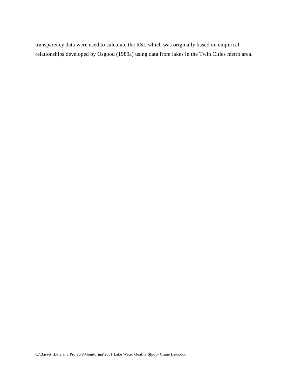transparency data were used to calculate the RSI, which was originally based on empirical relationships developed by Osgood (1989a) using data from lakes in the Twin Cities metro area.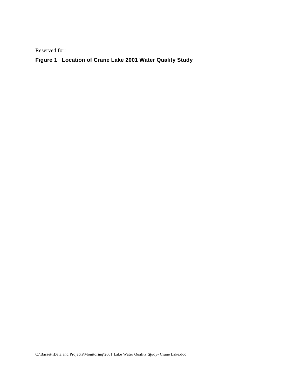#### **Figure 1 Location of Crane Lake 2001 Water Quality Study**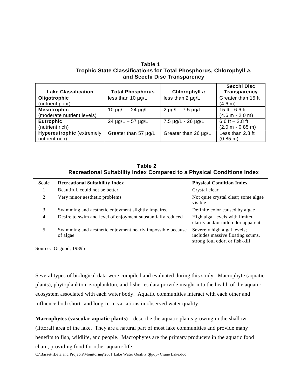**Table 1 Trophic State Classifications for Total Phosphorus, Chlorophyll** *a***, and Secchi Disc Transparency**

| <b>Lake Classification</b>                         | <b>Total Phosphorus</b>   | Chlorophyll a         | <b>Secchi Disc</b><br><b>Transparency</b> |
|----------------------------------------------------|---------------------------|-----------------------|-------------------------------------------|
| Oligotrophic<br>(nutrient poor)                    | less than 10 µg/L         | less than $2 \mu g/L$ | Greater than 15 ft<br>(4.6 m)             |
| <b>Mesotrophic</b><br>(moderate nutrient levels)   | $10 \mu g/L - 24 \mu g/L$ | 2 µg/L - 7.5 µg/L     | 15 ft - 6.6 ft<br>$(4.6 m - 2.0 m)$       |
| <b>Eutrophic</b><br>(nutrient rich)                | $24 \mu g/L - 57 \mu g/L$ | 7.5 µg/L - 26 µg/L    | 6.6 ft $-2.8$ ft<br>$(2.0 m - 0.85 m)$    |
| <b>Hypereutrophic (extremely</b><br>nutrient rich) | Greater than 57 µg/L      | Greater than 26 µg/L  | Less than 2.8 ft<br>$(0.85 \text{ m})$    |

**Table 2 Recreational Suitability Index Compared to a Physical Conditions Index**

| <b>Scale</b>   | <b>Recreational Suitability Index</b>                                  | <b>Physical Condition Index</b>                                                                   |
|----------------|------------------------------------------------------------------------|---------------------------------------------------------------------------------------------------|
| 1              | Beautiful, could not be better                                         | Crystal clear                                                                                     |
| 2              | Very minor aesthetic problems                                          | Not quite crystal clear; some algae<br>visible                                                    |
| 3              | Swimming and aesthetic enjoyment slightly impaired                     | Definite color caused by algae                                                                    |
| $\overline{4}$ | Desire to swim and level of enjoyment substantially reduced            | High algal levels with limited<br>clarity and/or mild odor apparent                               |
| 5              | Swimming and aesthetic enjoyment nearly impossible because<br>of algae | Severely high algal levels;<br>includes massive floating scums,<br>strong foul odor, or fish-kill |

Source: Osgood, 1989b

Several types of biological data were compiled and evaluated during this study. Macrophyte (aquatic plants), phytoplankton, zooplankton, and fisheries data provide insight into the health of the aquatic ecosystem associated with each water body. Aquatic communities interact with each other and influence both short- and long-term variations in observed water quality.

**Macrophytes (vascular aquatic plants)—**describe the aquatic plants growing in the shallow (littoral) area of the lake. They are a natural part of most lake communities and provide many benefits to fish, wildlife, and people. Macrophytes are the primary producers in the aquatic food chain, providing food for other aquatic life.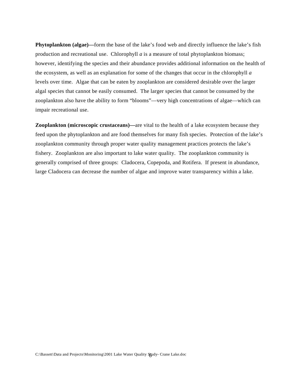**Phytoplankton (algae)—**form the base of the lake's food web and directly influence the lake's fish production and recreational use. Chlorophyll *a* is a measure of total phytoplankton biomass; however, identifying the species and their abundance provides additional information on the health of the ecosystem, as well as an explanation for some of the changes that occur in the chlorophyll *a* levels over time. Algae that can be eaten by zooplankton are considered desirable over the larger algal species that cannot be easily consumed. The larger species that cannot be consumed by the zooplankton also have the ability to form "blooms"—very high concentrations of algae—which can impair recreational use.

**Zooplankton (microscopic crustaceans)—are vital to the health of a lake ecosystem because they** feed upon the phytoplankton and are food themselves for many fish species. Protection of the lake's zooplankton community through proper water quality management practices protects the lake's fishery. Zooplankton are also important to lake water quality. The zooplankton community is generally comprised of three groups: Cladocera, Copepoda, and Rotifera. If present in abundance, large Cladocera can decrease the number of algae and improve water transparency within a lake.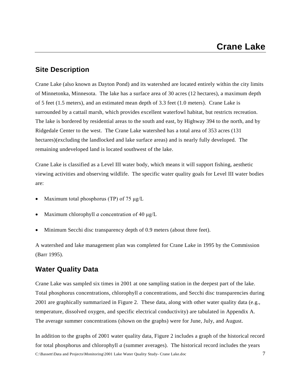#### **Site Description**

Crane Lake (also known as Dayton Pond) and its watershed are located entirely within the city limits of Minnetonka, Minnesota. The lake has a surface area of 30 acres (12 hectares), a maximum depth of 5 feet (1.5 meters), and an estimated mean depth of 3.3 feet (1.0 meters). Crane Lake is surrounded by a cattail marsh, which provides excellent waterfowl habitat, but restricts recreation. The lake is bordered by residential areas to the south and east, by Highway 394 to the north, and by Ridgedale Center to the west. The Crane Lake watershed has a total area of 353 acres (131 hectares)(excluding the landlocked and lake surface areas) and is nearly fully developed. The remaining undeveloped land is located southwest of the lake.

Crane Lake is classified as a Level III water body, which means it will support fishing, aesthetic viewing activities and observing wildlife. The specific water quality goals for Level III water bodies are:

- Maximum total phosphorus (TP) of 75  $\mu$ g/L
- Maximum chlorophyll *a* concentration of 40 μg/L
- Minimum Secchi disc transparency depth of 0.9 meters (about three feet).

A watershed and lake management plan was completed for Crane Lake in 1995 by the Commission (Barr 1995).

#### **Water Quality Data**

Crane Lake was sampled six times in 2001 at one sampling station in the deepest part of the lake. Total phosphorus concentrations, chlorophyll *a* concentrations, and Secchi disc transparencies during 2001 are graphically summarized in Figure 2. These data, along with other water quality data (e.g., temperature, dissolved oxygen, and specific electrical conductivity) are tabulated in Appendix A. The average summer concentrations (shown on the graphs) were for June, July, and August.

C:\Bassett\Data and Projects\Monitoring\2001 Lake Water Quality Study- Crane Lake.doc 7 In addition to the graphs of 2001 water quality data, Figure 2 includes a graph of the historical record for total phosphorus and chlorophyll *a* (summer averages). The historical record includes the years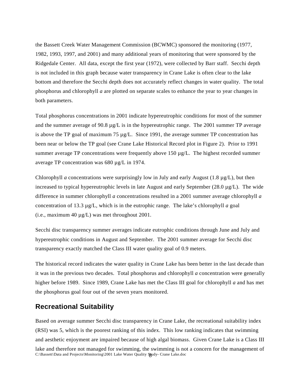the Bassett Creek Water Management Commission (BCWMC) sponsored the monitoring (1977, 1982, 1993, 1997, and 2001) and many additional years of monitoring that were sponsored by the Ridgedale Center. All data, except the first year (1972), were collected by Barr staff. Secchi depth is not included in this graph because water transparency in Crane Lake is often clear to the lake bottom and therefore the Secchi depth does not accurately reflect changes in water quality. The total phosphorus and chlorophyll *a* are plotted on separate scales to enhance the year to year changes in both parameters.

Total phosphorus concentrations in 2001 indicate hypereutrophic conditions for most of the summer and the summer average of 90.8  $\mu$ g/L is in the hypereutrophic range. The 2001 summer TP average is above the TP goal of maximum  $75 \mu g/L$ . Since 1991, the average summer TP concentration has been near or below the TP goal (see Crane Lake Historical Record plot in Figure 2). Prior to 1991 summer average TP concentrations were frequently above 150  $\mu$ g/L. The highest recorded summer average TP concentration was 680 µg/L in 1974.

Chlorophyll *a* concentrations were surprisingly low in July and early August (1.8  $\mu$ g/L), but then increased to typical hypereutrophic levels in late August and early September (28.0 µg/L). The wide difference in summer chlorophyll *a* concentrations resulted in a 2001 summer average chlorophyll *a* concentration of 13.3 µg/L, which is in the eutrophic range. The lake's chlorophyll *a* goal (i.e., maximum 40 µg/L) was met throughout 2001.

Secchi disc transparency summer averages indicate eutrophic conditions through June and July and hypereutrophic conditions in August and September. The 2001 summer average for Secchi disc transparency exactly matched the Class III water quality goal of 0.9 meters.

The historical record indicates the water quality in Crane Lake has been better in the last decade than it was in the previous two decades. Total phosphorus and chlorophyll *a* concentration were generally higher before 1989. Since 1989, Crane Lake has met the Class III goal for chlorophyll *a* and has met the phosphorus goal four out of the seven years monitored.

#### **Recreational Suitability**

C:\Bassett\Data and Projects\Monitoring\2001 Lake Water Quality Study- Crane Lake.doc Based on average summer Secchi disc transparency in Crane Lake, the recreational suitability index (RSI) was 5, which is the poorest ranking of this index. This low ranking indicates that swimming and aesthetic enjoyment are impaired because of high algal biomass. Given Crane Lake is a Class III lake and therefore not managed for swimming, the swimming is not a concern for the management of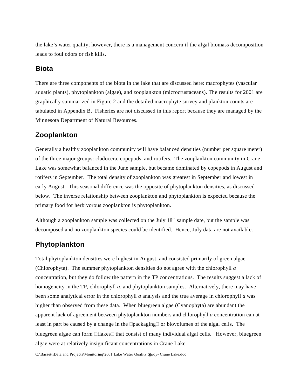the lake's water quality; however, there is a management concern if the algal biomass decomposition leads to foul odors or fish kills.

#### **Biota**

There are three components of the biota in the lake that are discussed here: macrophytes (vascular aquatic plants), phytoplankton (algae), and zooplankton (microcrustaceans). The results for 2001 are graphically summarized in Figure 2 and the detailed macrophyte survey and plankton counts are tabulated in Appendix B. Fisheries are not discussed in this report because they are managed by the Minnesota Department of Natural Resources.

#### **Zooplankton**

Generally a healthy zooplankton community will have balanced densities (number per square meter) of the three major groups: cladocera, copepods, and rotifers. The zooplankton community in Crane Lake was somewhat balanced in the June sample, but became dominated by copepods in August and rotifers in September. The total density of zooplankton was greatest in September and lowest in early August. This seasonal difference was the opposite of phytoplankton densities, as discussed below. The inverse relationship between zooplankton and phytoplankton is expected because the primary food for herbivorous zooplankton is phytoplankton.

Although a zooplankton sample was collected on the July 18<sup>th</sup> sample date, but the sample was decomposed and no zooplankton species could be identified. Hence, July data are not available.

#### **Phytoplankton**

Total phytoplankton densities were highest in August, and consisted primarily of green algae (Chlorophyta). The summer phytoplankton densities do not agree with the chlorophyll *a* concentration, but they do follow the pattern in the TP concentrations. The results suggest a lack of homogeneity in the TP, chlorophyll *a*, and phytoplankton samples. Alternatively, there may have been some analytical error in the chlorophyll *a* analysis and the true average in chlorophyll *a* was higher than observed from these data. When bluegreen algae (Cyanophyta) are abundant the apparent lack of agreement between phytoplankton numbers and chlorophyll *a* concentration can at least in part be caused by a change in the  $\Box$ packaging $\Box$  or biovolumes of the algal cells. The bluegreen algae can form  $\Box$  flakes  $\Box$  that consist of many individual algal cells. However, bluegreen algae were at relatively insignificant concentrations in Crane Lake.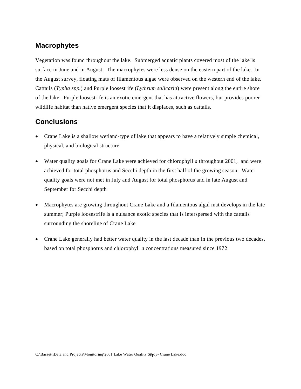#### **Macrophytes**

Vegetation was found throughout the lake. Submerged aquatic plants covered most of the lake $\Box$ s surface in June and in August. The macrophytes were less dense on the eastern part of the lake. In the August survey, floating mats of filamentous algae were observed on the western end of the lake. Cattails (*Typha spp.*) and Purple loosestrife (*Lythrum salicaria*) were present along the entire shore of the lake. Purple loosestrife is an exotic emergent that has attractive flowers, but provides poorer wildlife habitat than native emergent species that it displaces, such as cattails.

### **Conclusions**

- Crane Lake is a shallow wetland-type of lake that appears to have a relatively simple chemical, physical, and biological structure
- Water quality goals for Crane Lake were achieved for chlorophyll *a* throughout 2001, and were achieved for total phosphorus and Secchi depth in the first half of the growing season. Water quality goals were not met in July and August for total phosphorus and in late August and September for Secchi depth
- Macrophytes are growing throughout Crane Lake and a filamentous algal mat develops in the late summer; Purple loosestrife is a nuisance exotic species that is interspersed with the cattails surrounding the shoreline of Crane Lake
- Crane Lake generally had better water quality in the last decade than in the previous two decades, based on total phosphorus and chlorophyll *a* concentrations measured since 1972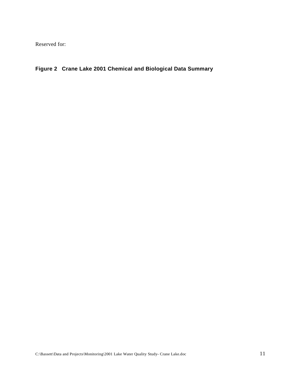### **Figure 2 Crane Lake 2001 Chemical and Biological Data Summary**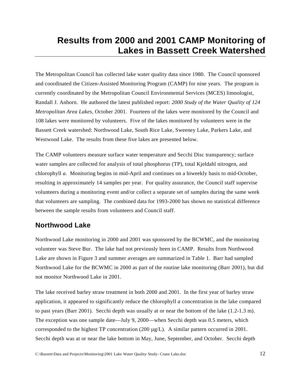## **Results from 2000 and 2001 CAMP Monitoring of Lakes in Bassett Creek Watershed**

The Metropolitan Council has collected lake water quality data since 1980. The Council sponsored and coordinated the Citizen-Assisted Monitoring Program (CAMP) for nine years. The program is currently coordinated by the Metropolitan Council Environmental Services (MCES) limnologist, Randall J. Anhorn. He authored the latest published report: *2000 Study of the Water Quality of 124 Metropolitan Area Lakes*, October 2001. Fourteen of the lakes were monitored by the Council and 108 lakes were monitored by volunteers. Five of the lakes monitored by volunteers were in the Bassett Creek watershed: Northwood Lake, South Rice Lake, Sweeney Lake, Parkers Lake, and Westwood Lake. The results from these five lakes are presented below.

The CAMP volunteers measure surface water temperature and Secchi Disc transparency; surface water samples are collected for analysis of total phosphorus (TP), total Kjeldahl nitrogen, and chlorophyll *a*. Monitoring begins in mid-April and continues on a biweekly basis to mid-October, resulting in approximately 14 samples per year. For quality assurance, the Council staff supervise volunteers during a monitoring event and/or collect a separate set of samples during the same week that volunteers are sampling. The combined data for 1993-2000 has shown no statistical difference between the sample results from volunteers and Council staff.

#### **Northwood Lake**

Northwood Lake monitoring in 2000 and 2001 was sponsored by the BCWMC, and the monitoring volunteer was Steve Bur. The lake had not previously been in CAMP. Results from Northwood Lake are shown in Figure 3 and summer averages are summarized in Table 1. Barr had sampled Northwood Lake for the BCWMC in 2000 as part of the routine lake monitoring (Barr 2001), but did not monitor Northwood Lake in 2001.

The lake received barley straw treatment in both 2000 and 2001. In the first year of barley straw application, it appeared to significantly reduce the chlorophyll *a* concentration in the lake compared to past years (Barr 2001). Secchi depth was usually at or near the bottom of the lake (1.2-1.3 m). The exception was one sample date—July 9, 2000—when Secchi depth was 0.5 meters, which corresponded to the highest TP concentration (200 µg/L). A similar pattern occurred in 2001. Secchi depth was at or near the lake bottom in May, June, September, and October. Secchi depth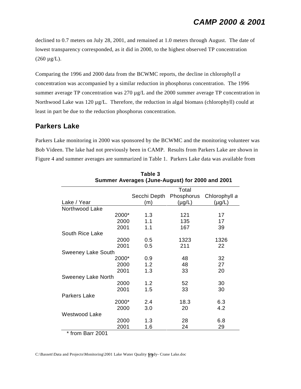declined to 0.7 meters on July 28, 2001, and remained at 1.0 meters through August. The date of lowest transparency corresponded, as it did in 2000, to the highest observed TP concentration  $(260 \,\mu g/L).$ 

Comparing the 1996 and 2000 data from the BCWMC reports, the decline in chlorophyll *a* concentration was accompanied by a similar reduction in phosphorus concentration. The 1996 summer average TP concentration was 270 µg/L and the 2000 summer average TP concentration in Northwood Lake was 120 µg/L. Therefore, the reduction in algal biomass (chlorophyll) could at least in part be due to the reduction phosphorus concentration.

#### **Parkers Lake**

Parkers Lake monitoring in 2000 was sponsored by the BCWMC and the monitoring volunteer was Bob Videen. The lake had not previously been in CAMP. Results from Parkers Lake are shown in Figure 4 and summer averages are summarized in Table 1. Parkers Lake data was available from

| or <i>r</i> roraged (bano <i>r</i> agaet) ior 2000 and <i>1</i> |              |             |               |
|-----------------------------------------------------------------|--------------|-------------|---------------|
|                                                                 |              | Total       |               |
|                                                                 | Secchi Depth | Phosphorus  | Chlorophyll a |
| Lake / Year                                                     | (m)          | $(\mu g/L)$ | $(\mu g/L)$   |
| Northwood Lake                                                  |              |             |               |
| 2000*                                                           | 1.3          | 121         | 17            |
| 2000                                                            | 1.1          | 135         | 17            |
| 2001                                                            | 1.1          | 167         | 39            |
| South Rice Lake                                                 |              |             |               |
| 2000                                                            | 0.5          | 1323        | 1326          |
| 2001                                                            | 0.5          | 211         | 22            |
| <b>Sweeney Lake South</b>                                       |              |             |               |
| 2000*                                                           | 0.9          | 48          | 32            |
| 2000                                                            | 1.2          | 48          | 27            |
| 2001                                                            | 1.3          | 33          | 20            |
| <b>Sweeney Lake North</b>                                       |              |             |               |
| 2000                                                            | 1.2          | 52          | 30            |
| 2001                                                            | 1.5          | 33          | 30            |
| <b>Parkers Lake</b>                                             |              |             |               |
| 2000*                                                           | 2.4          | 18.3        | 6.3           |
| 2000                                                            | 3.0          | 20          | 4.2           |
| Westwood Lake                                                   |              |             |               |
| 2000                                                            | 1.3          | 28          | 6.8           |
| 2001                                                            | 1.6          | 24          | 29            |
| $*$ from $D_{\text{max}}$ 0004                                  |              |             |               |

**Table 3 Summer Averages (June-August) for 2000 and 2001**

\* from Barr 2001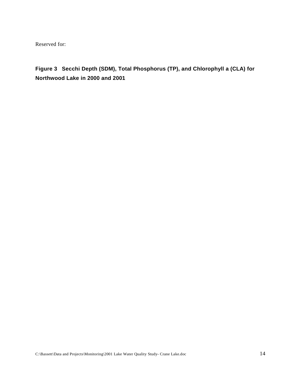**Figure 3 Secchi Depth (SDM), Total Phosphorus (TP), and Chlorophyll a (CLA) for Northwood Lake in 2000 and 2001**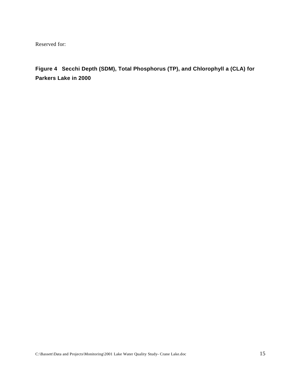**Figure 4 Secchi Depth (SDM), Total Phosphorus (TP), and Chlorophyll a (CLA) for Parkers Lake in 2000**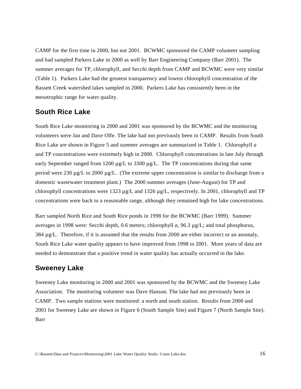CAMP for the first time in 2000, but not 2001. BCWMC sponsored the CAMP volunteer sampling and had sampled Parkers Lake in 2000 as well by Barr Engineering Company (Barr 2001). The summer averages for TP, chlorophyll, and Secchi depth from CAMP and BCWMC were very similar (Table 1). Parkers Lake had the greatest transparency and lowest chlorophyll concentration of the Bassett Creek watershed lakes sampled in 2000. Parkers Lake has consistently been in the mesotrophic range for water quality.

#### **South Rice Lake**

South Rice Lake monitoring in 2000 and 2001 was sponsored by the BCWMC and the monitoring volunteers were Jan and Dave Olfe. The lake had not previously been in CAMP. Results from South Rice Lake are shown in Figure 5 and summer averages are summarized in Table 1. Chlorophyll *a* and TP concentrations were extremely high in 2000. Chlorophyll concentrations in late July through early September ranged from 1200  $\mu$ g/L to 3300  $\mu$ g/L. The TP concentrations during that same period were 230 µg/L to 2000 µg/L. (The extreme upper concentration is similar to discharge from a domestic wastewater treatment plant.) The 2000 summer averages (June-August) for TP and chlorophyll concentrations were 1323  $\mu$ g/L and 1326  $\mu$ g/L, respectively. In 2001, chlorophyll and TP concentrations were back to a reasonable range, although they remained high for lake concentrations.

Barr sampled North Rice and South Rice ponds in 1998 for the BCWMC (Barr 1999). Summer averages in 1998 were: Secchi depth, 0.6 meters; chlorophyll *a*, 96.3 µg/L; and total phosphorus, 384  $\mu$ g/L. Therefore, if it is assumed that the results from 2000 are either incorrect or an anomaly, South Rice Lake water quality appears to have improved from 1998 to 2001. More years of data are needed to demonstrate that a positive trend in water quality has actually occurred in the lake.

#### **Sweeney Lake**

Sweeney Lake monitoring in 2000 and 2001 was sponsored by the BCWMC and the Sweeney Lake Association. The monitoring volunteer was Dave Hanson. The lake had not previously been in CAMP. Two sample stations were monitored: a north and south station. Results from 2000 and 2001 for Sweeney Lake are shown in Figure 6 (South Sample Site) and Figure 7 (North Sample Site). Barr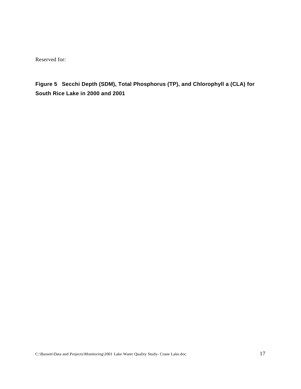**Figure 5 Secchi Depth (SDM), Total Phosphorus (TP), and Chlorophyll a (CLA) for South Rice Lake in 2000 and 2001**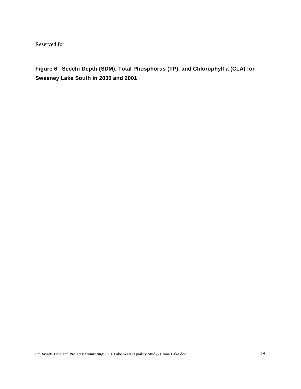**Figure 6 Secchi Depth (SDM), Total Phosphorus (TP), and Chlorophyll a (CLA) for Sweeney Lake South in 2000 and 2001**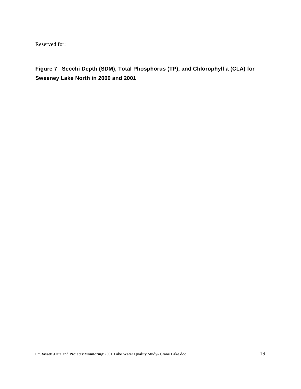**Figure 7 Secchi Depth (SDM), Total Phosphorus (TP), and Chlorophyll a (CLA) for Sweeney Lake North in 2000 and 2001**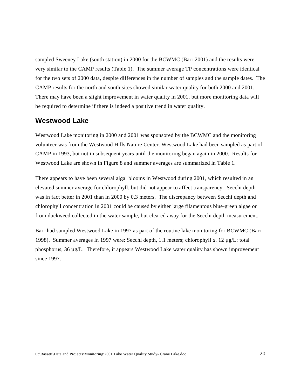sampled Sweeney Lake (south station) in 2000 for the BCWMC (Barr 2001) and the results were very similar to the CAMP results (Table 1). The summer average TP concentrations were identical for the two sets of 2000 data, despite differences in the number of samples and the sample dates. The CAMP results for the north and south sites showed similar water quality for both 2000 and 2001. There may have been a slight improvement in water quality in 2001, but more monitoring data will be required to determine if there is indeed a positive trend in water quality.

#### **Westwood Lake**

Westwood Lake monitoring in 2000 and 2001 was sponsored by the BCWMC and the monitoring volunteer was from the Westwood Hills Nature Center. Westwood Lake had been sampled as part of CAMP in 1993, but not in subsequent years until the monitoring began again in 2000. Results for Westwood Lake are shown in Figure 8 and summer averages are summarized in Table 1.

There appears to have been several algal blooms in Westwood during 2001, which resulted in an elevated summer average for chlorophyll, but did not appear to affect transparency. Secchi depth was in fact better in 2001 than in 2000 by 0.3 meters. The discrepancy between Secchi depth and chlorophyll concentration in 2001 could be caused by either large filamentous blue-green algae or from duckweed collected in the water sample, but cleared away for the Secchi depth measurement.

Barr had sampled Westwood Lake in 1997 as part of the routine lake monitoring for BCWMC (Barr 1998). Summer averages in 1997 were: Secchi depth, 1.1 meters; chlorophyll *a*, 12 µg/L; total phosphorus, 36 µg/L. Therefore, it appears Westwood Lake water quality has shown improvement since 1997.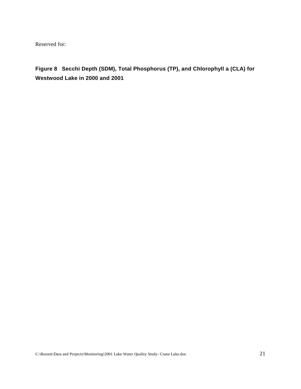**Figure 8 Secchi Depth (SDM), Total Phosphorus (TP), and Chlorophyll a (CLA) for Westwood Lake in 2000 and 2001**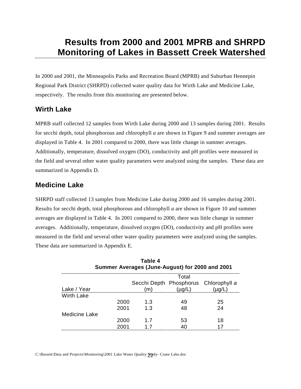## **Results from 2000 and 2001 MPRB and SHRPD Monitoring of Lakes in Bassett Creek Watershed**

In 2000 and 2001, the Minneapolis Parks and Recreation Board (MPRB) and Suburban Hennepin Regional Park District (SHRPD) collected water quality data for Wirth Lake and Medicine Lake, respectively. The results from this monitoring are presented below.

### **Wirth Lake**

MPRB staff collected 12 samples from Wirth Lake during 2000 and 13 samples during 2001. Results for secchi depth, total phosphorous and chlorophyll *a* are shown in Figure 9 and summer averages are displayed in Table 4. In 2001 compared to 2000, there was little change in summer averages. Additionally, temperature, dissolved oxygen (DO), conductivity and pH profiles were measured in the field and several other water quality parameters were analyzed using the samples. These data are summarized in Appendix D.

### **Medicine Lake**

SHRPD staff collected 13 samples from Medicine Lake during 2000 and 16 samples during 2001. Results for secchi depth, total phosphorous and chlorophyll *a* are shown in Figure 10 and summer averages are displayed in Table 4. In 2001 compared to 2000, there was little change in summer averages. Additionally, temperature, dissolved oxygen (DO), conductivity and pH profiles were measured in the field and several other water quality parameters were analyzed using the samples. These data are summarized in Appendix E.

| Table 4<br>Summer Averages (June-August) for 2000 and 2001 |      |     |             |                                       |
|------------------------------------------------------------|------|-----|-------------|---------------------------------------|
|                                                            |      |     | Total       |                                       |
|                                                            |      |     |             | Secchi Depth Phosphorus Chlorophyll a |
| Lake / Year                                                |      | (m) | $(\mu g/L)$ | (µg/L)                                |
| <b>Wirth Lake</b>                                          |      |     |             |                                       |
|                                                            | 2000 | 1.3 | 49          | 25                                    |
|                                                            | 2001 | 1.3 | 48          | 24                                    |
| <b>Medicine Lake</b>                                       |      |     |             |                                       |
|                                                            | 2000 | 1.7 | 53          | 18                                    |
|                                                            | 2001 | 1.7 | 40          | 17                                    |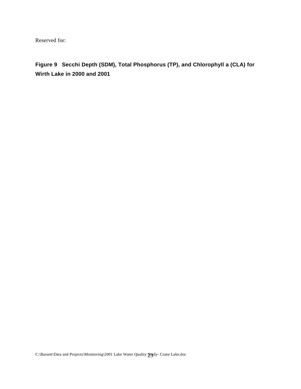**Figure 9 Secchi Depth (SDM), Total Phosphorus (TP), and Chlorophyll a (CLA) for Wirth Lake in 2000 and 2001**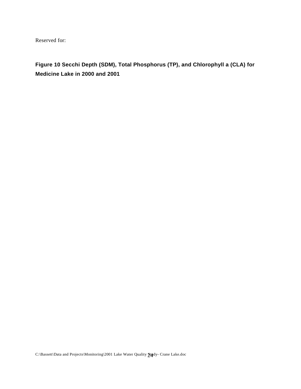**Figure 10 Secchi Depth (SDM), Total Phosphorus (TP), and Chlorophyll a (CLA) for Medicine Lake in 2000 and 2001**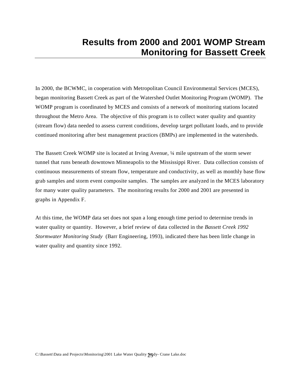## **Results from 2000 and 2001 WOMP Stream Monitoring for Bassett Creek**

In 2000, the BCWMC, in cooperation with Metropolitan Council Environmental Services (MCES), began monitoring Bassett Creek as part of the Watershed Outlet Monitoring Program (WOMP). The WOMP program is coordinated by MCES and consists of a network of monitoring stations located throughout the Metro Area. The objective of this program is to collect water quality and quantity (stream flow) data needed to assess current conditions, develop target pollutant loads, and to provide continued monitoring after best management practices (BMPs) are implemented in the watersheds.

The Bassett Creek WOMP site is located at Irving Avenue, ¼ mile upstream of the storm sewer tunnel that runs beneath downtown Minneapolis to the Mississippi River. Data collection consists of continuous measurements of stream flow, temperature and conductivity, as well as monthly base flow grab samples and storm event composite samples. The samples are analyzed in the MCES laboratory for many water quality parameters. The monitoring results for 2000 and 2001 are presented in graphs in Appendix F.

At this time, the WOMP data set does not span a long enough time period to determine trends in water quality or quantity. However, a brief review of data collected in the *Bassett Creek 1992 Stormwater Monitoring Study* (Barr Engineering, 1993), indicated there has been little change in water quality and quantity since 1992.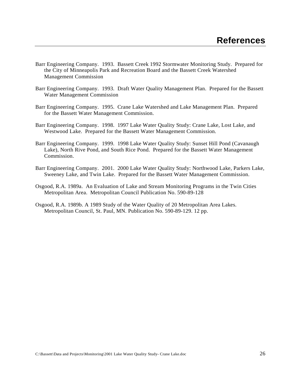- Barr Engineering Company. 1993. Bassett Creek 1992 Stormwater Monitoring Study. Prepared for the City of Minneapolis Park and Recreation Board and the Bassett Creek Watershed Management Commission
- Barr Engineering Company. 1993. Draft Water Quality Management Plan. Prepared for the Bassett Water Management Commission
- Barr Engineering Company. 1995. Crane Lake Watershed and Lake Management Plan. Prepared for the Bassett Water Management Commission.
- Barr Engineering Company. 1998. 1997 Lake Water Quality Study: Crane Lake, Lost Lake, and Westwood Lake. Prepared for the Bassett Water Management Commission.
- Barr Engineering Company. 1999. 1998 Lake Water Quality Study: Sunset Hill Pond (Cavanaugh Lake), North Rive Pond, and South Rice Pond. Prepared for the Bassett Water Management Commission.
- Barr Engineering Company. 2001. 2000 Lake Water Quality Study: Northwood Lake, Parkers Lake, Sweeney Lake, and Twin Lake. Prepared for the Bassett Water Management Commission.
- Osgood, R.A. 1989a. An Evaluation of Lake and Stream Monitoring Programs in the Twin Cities Metropolitan Area. Metropolitan Council Publication No. 590-89-128
- Osgood, R.A. 1989b. A 1989 Study of the Water Quality of 20 Metropolitan Area Lakes. Metropolitan Council, St. Paul, MN. Publication No. 590-89-129. 12 pp.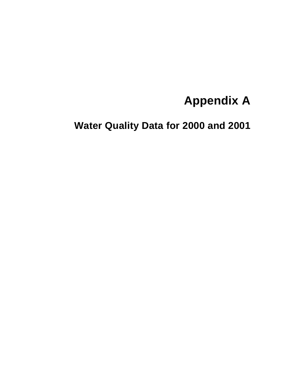# **Appendix A**

**Water Quality Data for 2000 and 2001**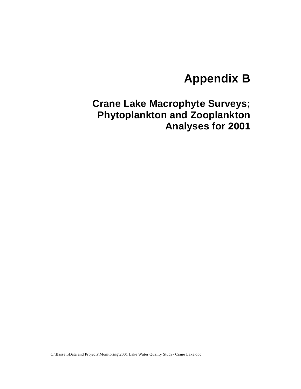# **Appendix B**

# **Crane Lake Macrophyte Surveys; Phytoplankton and Zooplankton Analyses for 2001**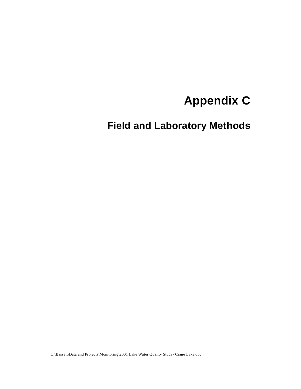# **Appendix C**

**Field and Laboratory Methods**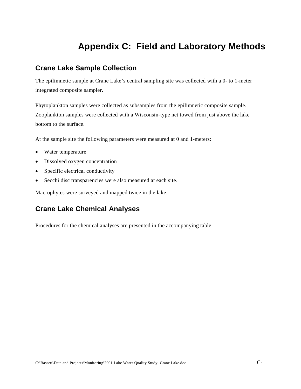## **Appendix C: Field and Laboratory Methods**

### **Crane Lake Sample Collection**

The epilimnetic sample at Crane Lake's central sampling site was collected with a 0- to 1-meter integrated composite sampler.

Phytoplankton samples were collected as subsamples from the epilimnetic composite sample. Zooplankton samples were collected with a Wisconsin-type net towed from just above the lake bottom to the surface.

At the sample site the following parameters were measured at 0 and 1-meters:

- Water temperature
- Dissolved oxygen concentration
- Specific electrical conductivity
- Secchi disc transparencies were also measured at each site.

Macrophytes were surveyed and mapped twice in the lake.

## **Crane Lake Chemical Analyses**

Procedures for the chemical analyses are presented in the accompanying table.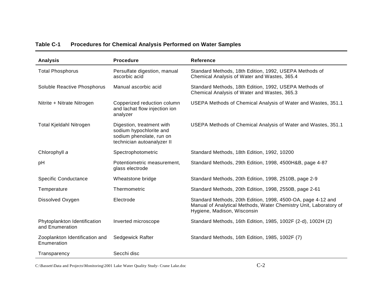| Analysis                                        | <b>Procedure</b>                                                                                               | <b>Reference</b>                                                                                                                                                 |
|-------------------------------------------------|----------------------------------------------------------------------------------------------------------------|------------------------------------------------------------------------------------------------------------------------------------------------------------------|
| <b>Total Phosphorus</b>                         | Persulfate digestion, manual<br>ascorbic acid                                                                  | Standard Methods, 18th Edition, 1992, USEPA Methods of<br>Chemical Analysis of Water and Wastes, 365.4                                                           |
| Soluble Reactive Phosphorus                     | Manual ascorbic acid                                                                                           | Standard Methods, 18th Edition, 1992, USEPA Methods of<br>Chemical Analysis of Water and Wastes, 365.3                                                           |
| Nitrite + Nitrate Nitrogen                      | Copperized reduction column<br>and lachat flow injection ion<br>analyzer                                       | USEPA Methods of Chemical Analysis of Water and Wastes, 351.1                                                                                                    |
| Total Kjeldahl Nitrogen                         | Digestion, treatment with<br>sodium hypochlorite and<br>sodium phenolate, run on<br>technician autoanalyzer II | USEPA Methods of Chemical Analysis of Water and Wastes, 351.1                                                                                                    |
| Chlorophyll a                                   | Spectrophotometric                                                                                             | Standard Methods, 18th Edition, 1992, 10200                                                                                                                      |
| pH                                              | Potentiometric measurement,<br>glass electrode                                                                 | Standard Methods, 29th Edition, 1998, 4500H&B, page 4-87                                                                                                         |
| <b>Specific Conductance</b>                     | Wheatstone bridge                                                                                              | Standard Methods, 20th Edition, 1998, 2510B, page 2-9                                                                                                            |
| Temperature                                     | Thermometric                                                                                                   | Standard Methods, 20th Edition, 1998, 2550B, page 2-61                                                                                                           |
| Dissolved Oxygen                                | Electrode                                                                                                      | Standard Methods, 20th Edition, 1998, 4500-OA, page 4-12 and<br>Manual of Analytical Methods, Water Chemistry Unit, Laboratory of<br>Hygiene, Madison, Wisconsin |
| Phytoplankton Identification<br>and Enumeration | Inverted microscope                                                                                            | Standard Methods, 16th Edition, 1985, 1002F (2-d), 1002H (2)                                                                                                     |
| Zooplankton Identification and<br>Enumeration   | Sedgewick Rafter                                                                                               | Standard Methods, 16th Edition, 1985, 1002F (7)                                                                                                                  |
| Transparency                                    | Secchi disc                                                                                                    |                                                                                                                                                                  |

#### **Table C-1 Procedures for Chemical Analysis Performed on Water Samples**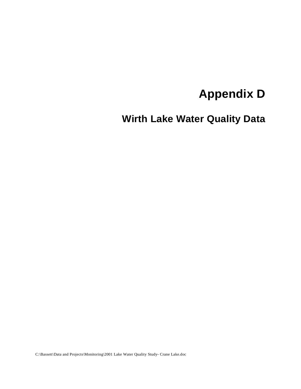# **Appendix D**

**Wirth Lake Water Quality Data**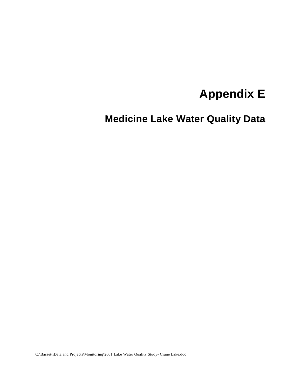# **Appendix E**

**Medicine Lake Water Quality Data**